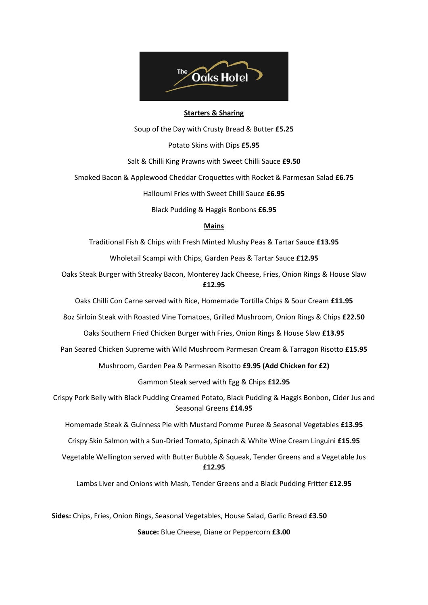

### **Starters & Sharing**

Soup of the Day with Crusty Bread & Butter **£5.25**

Potato Skins with Dips **£5.95**

Salt & Chilli King Prawns with Sweet Chilli Sauce **£9.50**

Smoked Bacon & Applewood Cheddar Croquettes with Rocket & Parmesan Salad **£6.75**

Halloumi Fries with Sweet Chilli Sauce **£6.95**

Black Pudding & Haggis Bonbons **£6.95**

# **Mains**

Traditional Fish & Chips with Fresh Minted Mushy Peas & Tartar Sauce **£13.95**

Wholetail Scampi with Chips, Garden Peas & Tartar Sauce **£12.95**

Oaks Steak Burger with Streaky Bacon, Monterey Jack Cheese, Fries, Onion Rings & House Slaw **£12.95**

Oaks Chilli Con Carne served with Rice, Homemade Tortilla Chips & Sour Cream **£11.95**

8oz Sirloin Steak with Roasted Vine Tomatoes, Grilled Mushroom, Onion Rings & Chips **£22.50**

Oaks Southern Fried Chicken Burger with Fries, Onion Rings & House Slaw **£13.95**

Pan Seared Chicken Supreme with Wild Mushroom Parmesan Cream & Tarragon Risotto **£15.95**

Mushroom, Garden Pea & Parmesan Risotto **£9.95 (Add Chicken for £2)**

Gammon Steak served with Egg & Chips **£12.95**

Crispy Pork Belly with Black Pudding Creamed Potato, Black Pudding & Haggis Bonbon, Cider Jus and Seasonal Greens **£14.95**

Homemade Steak & Guinness Pie with Mustard Pomme Puree & Seasonal Vegetables **£13.95**

Crispy Skin Salmon with a Sun-Dried Tomato, Spinach & White Wine Cream Linguini **£15.95**

Vegetable Wellington served with Butter Bubble & Squeak, Tender Greens and a Vegetable Jus **£12.95**

Lambs Liver and Onions with Mash, Tender Greens and a Black Pudding Fritter **£12.95**

**Sides:** Chips, Fries, Onion Rings, Seasonal Vegetables, House Salad, Garlic Bread **£3.50 Sauce:** Blue Cheese, Diane or Peppercorn **£3.00**